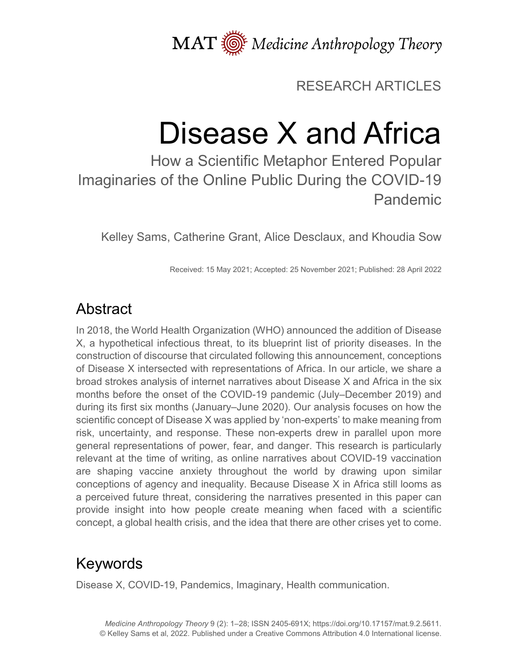MAT  $\overline{\text{W}}$  Medicine Anthropology Theory

RESEARCH ARTICLES

# Disease X and Africa

How a Scientific Metaphor Entered Popular Imaginaries of the Online Public During the COVID-19 Pandemic

Kelley Sams, Catherine Grant, Alice Desclaux, and Khoudia Sow

Received: 15 May 2021; Accepted: 25 November 2021; Published: 28 April 2022

# Abstract

In 2018, the World Health Organization (WHO) announced the addition of Disease X, a hypothetical infectious threat, to its blueprint list of priority diseases. In the construction of discourse that circulated following this announcement, conceptions of Disease X intersected with representations of Africa. In our article, we share a broad strokes analysis of internet narratives about Disease X and Africa in the six months before the onset of the COVID-19 pandemic (July–December 2019) and during its first six months (January–June 2020). Our analysis focuses on how the scientific concept of Disease X was applied by 'non-experts' to make meaning from risk, uncertainty, and response. These non-experts drew in parallel upon more general representations of power, fear, and danger. This research is particularly relevant at the time of writing, as online narratives about COVID-19 vaccination are shaping vaccine anxiety throughout the world by drawing upon similar conceptions of agency and inequality. Because Disease X in Africa still looms as a perceived future threat, considering the narratives presented in this paper can provide insight into how people create meaning when faced with a scientific concept, a global health crisis, and the idea that there are other crises yet to come.

# Keywords

Disease X, COVID-19, Pandemics, Imaginary, Health communication.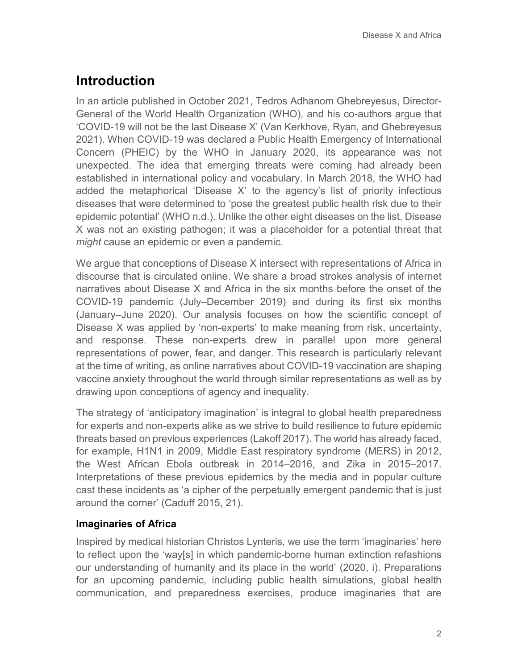## **Introduction**

In an article published in October 2021, Tedros Adhanom Ghebreyesus, Director-General of the World Health Organization (WHO), and his co-authors argue that 'COVID-19 will not be the last Disease X' (Van Kerkhove, Ryan, and Ghebreyesus 2021). When COVID-19 was declared a Public Health Emergency of International Concern (PHEIC) by the WHO in January 2020, its appearance was not unexpected. The idea that emerging threats were coming had already been established in international policy and vocabulary. In March 2018, the WHO had added the metaphorical 'Disease X' to the agency's list of priority infectious diseases that were determined to 'pose the greatest public health risk due to their epidemic potential' (WHO n.d.). Unlike the other eight diseases on the list, Disease X was not an existing pathogen; it was a placeholder for a potential threat that *might* cause an epidemic or even a pandemic.

We argue that conceptions of Disease X intersect with representations of Africa in discourse that is circulated online. We share a broad strokes analysis of internet narratives about Disease X and Africa in the six months before the onset of the COVID-19 pandemic (July–December 2019) and during its first six months (January–June 2020). Our analysis focuses on how the scientific concept of Disease X was applied by 'non-experts' to make meaning from risk, uncertainty, and response. These non-experts drew in parallel upon more general representations of power, fear, and danger. This research is particularly relevant at the time of writing, as online narratives about COVID-19 vaccination are shaping vaccine anxiety throughout the world through similar representations as well as by drawing upon conceptions of agency and inequality.

The strategy of 'anticipatory imagination' is integral to global health preparedness for experts and non-experts alike as we strive to build resilience to future epidemic threats based on previous experiences (Lakoff 2017). The world has already faced, for example, H1N1 in 2009, Middle East respiratory syndrome (MERS) in 2012, the West African Ebola outbreak in 2014–2016, and Zika in 2015–2017. Interpretations of these previous epidemics by the media and in popular culture cast these incidents as 'a cipher of the perpetually emergent pandemic that is just around the corner' (Caduff 2015, 21).

#### **Imaginaries of Africa**

Inspired by medical historian Christos Lynteris, we use the term 'imaginaries' here to reflect upon the 'way[s] in which pandemic-borne human extinction refashions our understanding of humanity and its place in the world' (2020, i). Preparations for an upcoming pandemic, including public health simulations, global health communication, and preparedness exercises, produce imaginaries that are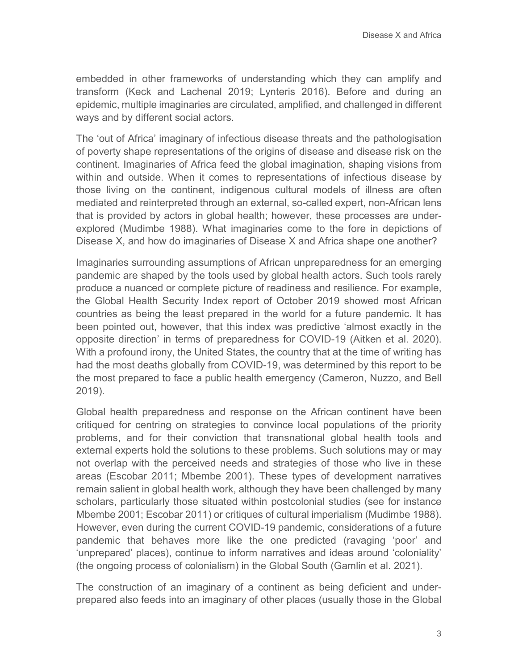embedded in other frameworks of understanding which they can amplify and transform (Keck and Lachenal 2019; Lynteris 2016). Before and during an epidemic, multiple imaginaries are circulated, amplified, and challenged in different ways and by different social actors.

The 'out of Africa' imaginary of infectious disease threats and the pathologisation of poverty shape representations of the origins of disease and disease risk on the continent. Imaginaries of Africa feed the global imagination, shaping visions from within and outside. When it comes to representations of infectious disease by those living on the continent, indigenous cultural models of illness are often mediated and reinterpreted through an external, so-called expert, non-African lens that is provided by actors in global health; however, these processes are underexplored (Mudimbe 1988). What imaginaries come to the fore in depictions of Disease X, and how do imaginaries of Disease X and Africa shape one another?

Imaginaries surrounding assumptions of African unpreparedness for an emerging pandemic are shaped by the tools used by global health actors. Such tools rarely produce a nuanced or complete picture of readiness and resilience. For example, the Global Health Security Index report of October 2019 showed most African countries as being the least prepared in the world for a future pandemic. It has been pointed out, however, that this index was predictive 'almost exactly in the opposite direction' in terms of preparedness for COVID-19 (Aitken et al. 2020). With a profound irony, the United States, the country that at the time of writing has had the most deaths globally from COVID-19, was determined by this report to be the most prepared to face a public health emergency (Cameron, Nuzzo, and Bell 2019).

Global health preparedness and response on the African continent have been critiqued for centring on strategies to convince local populations of the priority problems, and for their conviction that transnational global health tools and external experts hold the solutions to these problems. Such solutions may or may not overlap with the perceived needs and strategies of those who live in these areas (Escobar 2011; Mbembe 2001). These types of development narratives remain salient in global health work, although they have been challenged by many scholars, particularly those situated within postcolonial studies (see for instance Mbembe 2001; Escobar 2011) or critiques of cultural imperialism (Mudimbe 1988). However, even during the current COVID-19 pandemic, considerations of a future pandemic that behaves more like the one predicted (ravaging 'poor' and 'unprepared' places), continue to inform narratives and ideas around 'coloniality' (the ongoing process of colonialism) in the Global South (Gamlin et al. 2021).

The construction of an imaginary of a continent as being deficient and underprepared also feeds into an imaginary of other places (usually those in the Global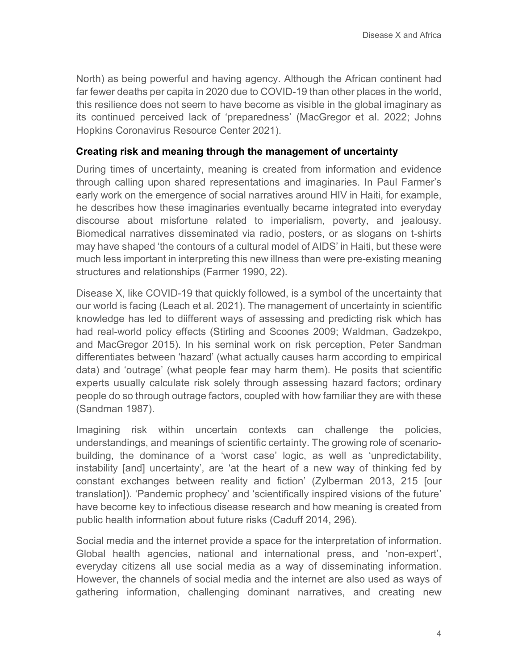North) as being powerful and having agency. Although the African continent had far fewer deaths per capita in 2020 due to COVID-19 than other places in the world, this resilience does not seem to have become as visible in the global imaginary as its continued perceived lack of 'preparedness' (MacGregor et al. 2022; Johns Hopkins Coronavirus Resource Center 2021).

#### **Creating risk and meaning through the management of uncertainty**

During times of uncertainty, meaning is created from information and evidence through calling upon shared representations and imaginaries. In Paul Farmer's early work on the emergence of social narratives around HIV in Haiti, for example, he describes how these imaginaries eventually became integrated into everyday discourse about misfortune related to imperialism, poverty, and jealousy. Biomedical narratives disseminated via radio, posters, or as slogans on t-shirts may have shaped 'the contours of a cultural model of AIDS' in Haiti, but these were much less important in interpreting this new illness than were pre-existing meaning structures and relationships (Farmer 1990, 22).

Disease X, like COVID-19 that quickly followed, is a symbol of the uncertainty that our world is facing (Leach et al. 2021). The management of uncertainty in scientific knowledge has led to diifferent ways of assessing and predicting risk which has had real-world policy effects (Stirling and Scoones 2009; Waldman, Gadzekpo, and MacGregor 2015). In his seminal work on risk perception, Peter Sandman differentiates between 'hazard' (what actually causes harm according to empirical data) and 'outrage' (what people fear may harm them). He posits that scientific experts usually calculate risk solely through assessing hazard factors; ordinary people do so through outrage factors, coupled with how familiar they are with these (Sandman 1987).

Imagining risk within uncertain contexts can challenge the policies, understandings, and meanings of scientific certainty. The growing role of scenariobuilding, the dominance of a 'worst case' logic, as well as 'unpredictability, instability [and] uncertainty', are 'at the heart of a new way of thinking fed by constant exchanges between reality and fiction' (Zylberman 2013, 215 [our translation]). 'Pandemic prophecy' and 'scientifically inspired visions of the future' have become key to infectious disease research and how meaning is created from public health information about future risks (Caduff 2014, 296).

Social media and the internet provide a space for the interpretation of information. Global health agencies, national and international press, and 'non-expert', everyday citizens all use social media as a way of disseminating information. However, the channels of social media and the internet are also used as ways of gathering information, challenging dominant narratives, and creating new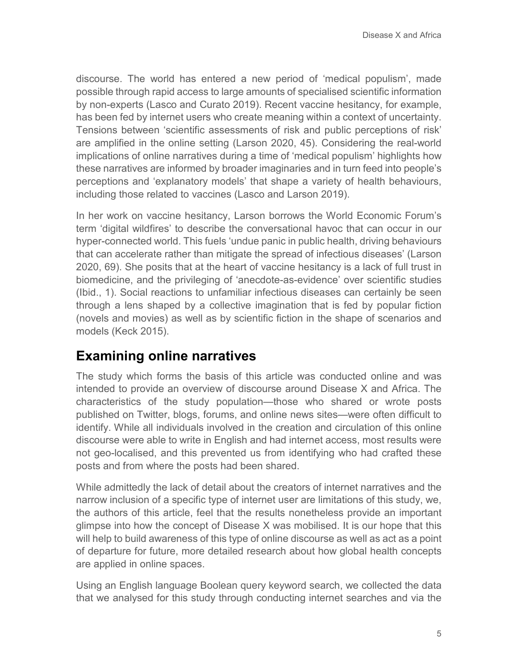discourse. The world has entered a new period of 'medical populism', made possible through rapid access to large amounts of specialised scientific information by non-experts (Lasco and Curato 2019). Recent vaccine hesitancy, for example, has been fed by internet users who create meaning within a context of uncertainty. Tensions between 'scientific assessments of risk and public perceptions of risk' are amplified in the online setting (Larson 2020, 45). Considering the real-world implications of online narratives during a time of 'medical populism' highlights how these narratives are informed by broader imaginaries and in turn feed into people's perceptions and 'explanatory models' that shape a variety of health behaviours, including those related to vaccines (Lasco and Larson 2019).

In her work on vaccine hesitancy, Larson borrows the World Economic Forum's term 'digital wildfires' to describe the conversational havoc that can occur in our hyper-connected world. This fuels 'undue panic in public health, driving behaviours that can accelerate rather than mitigate the spread of infectious diseases' (Larson 2020, 69). She posits that at the heart of vaccine hesitancy is a lack of full trust in biomedicine, and the privileging of 'anecdote-as-evidence' over scientific studies (Ibid., 1). Social reactions to unfamiliar infectious diseases can certainly be seen through a lens shaped by a collective imagination that is fed by popular fiction (novels and movies) as well as by scientific fiction in the shape of scenarios and models (Keck 2015).

### **Examining online narratives**

The study which forms the basis of this article was conducted online and was intended to provide an overview of discourse around Disease X and Africa. The characteristics of the study population—those who shared or wrote posts published on Twitter, blogs, forums, and online news sites—were often difficult to identify. While all individuals involved in the creation and circulation of this online discourse were able to write in English and had internet access, most results were not geo-localised, and this prevented us from identifying who had crafted these posts and from where the posts had been shared.

While admittedly the lack of detail about the creators of internet narratives and the narrow inclusion of a specific type of internet user are limitations of this study, we, the authors of this article, feel that the results nonetheless provide an important glimpse into how the concept of Disease X was mobilised. It is our hope that this will help to build awareness of this type of online discourse as well as act as a point of departure for future, more detailed research about how global health concepts are applied in online spaces.

Using an English language Boolean query keyword search, we collected the data that we analysed for this study through conducting internet searches and via the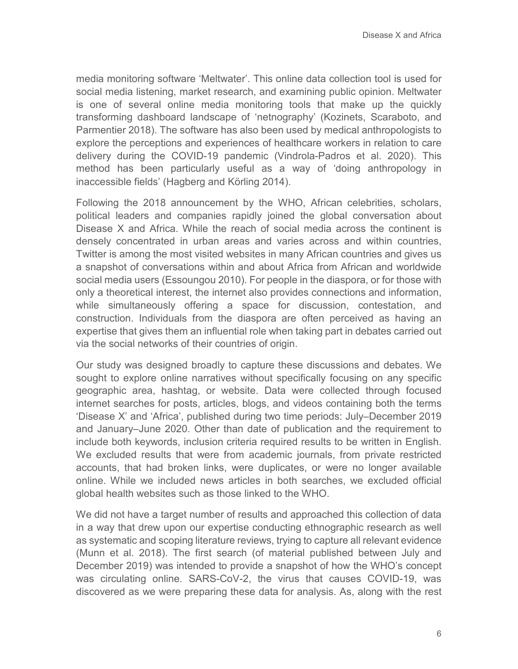media monitoring software 'Meltwater'. This online data collection tool is used for social media listening, market research, and examining public opinion. Meltwater is one of several online media monitoring tools that make up the quickly transforming dashboard landscape of 'netnography' (Kozinets, Scaraboto, and Parmentier 2018). The software has also been used by medical anthropologists to explore the perceptions and experiences of healthcare workers in relation to care delivery during the COVID-19 pandemic (Vindrola-Padros et al. 2020). This method has been particularly useful as a way of 'doing anthropology in inaccessible fields' (Hagberg and Körling 2014).

Following the 2018 announcement by the WHO, African celebrities, scholars, political leaders and companies rapidly joined the global conversation about Disease X and Africa. While the reach of social media across the continent is densely concentrated in urban areas and varies across and within countries, Twitter is among the most visited websites in many African countries and gives us a snapshot of conversations within and about Africa from African and worldwide social media users (Essoungou 2010). For people in the diaspora, or for those with only a theoretical interest, the internet also provides connections and information, while simultaneously offering a space for discussion, contestation, and construction. Individuals from the diaspora are often perceived as having an expertise that gives them an influential role when taking part in debates carried out via the social networks of their countries of origin.

Our study was designed broadly to capture these discussions and debates. We sought to explore online narratives without specifically focusing on any specific geographic area, hashtag, or website. Data were collected through focused internet searches for posts, articles, blogs, and videos containing both the terms 'Disease X' and 'Africa', published during two time periods: July–December 2019 and January–June 2020. Other than date of publication and the requirement to include both keywords, inclusion criteria required results to be written in English. We excluded results that were from academic journals, from private restricted accounts, that had broken links, were duplicates, or were no longer available online. While we included news articles in both searches, we excluded official global health websites such as those linked to the WHO.

We did not have a target number of results and approached this collection of data in a way that drew upon our expertise conducting ethnographic research as well as systematic and scoping literature reviews, trying to capture all relevant evidence (Munn et al. 2018). The first search (of material published between July and December 2019) was intended to provide a snapshot of how the WHO's concept was circulating online. SARS-CoV-2, the virus that causes COVID-19, was discovered as we were preparing these data for analysis. As, along with the rest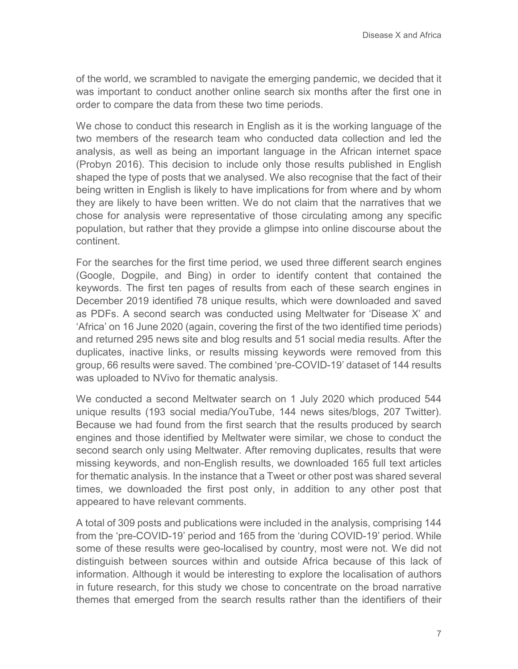of the world, we scrambled to navigate the emerging pandemic, we decided that it was important to conduct another online search six months after the first one in order to compare the data from these two time periods.

We chose to conduct this research in English as it is the working language of the two members of the research team who conducted data collection and led the analysis, as well as being an important language in the African internet space (Probyn 2016). This decision to include only those results published in English shaped the type of posts that we analysed. We also recognise that the fact of their being written in English is likely to have implications for from where and by whom they are likely to have been written. We do not claim that the narratives that we chose for analysis were representative of those circulating among any specific population, but rather that they provide a glimpse into online discourse about the continent.

For the searches for the first time period, we used three different search engines (Google, Dogpile, and Bing) in order to identify content that contained the keywords. The first ten pages of results from each of these search engines in December 2019 identified 78 unique results, which were downloaded and saved as PDFs. A second search was conducted using Meltwater for 'Disease X' and 'Africa' on 16 June 2020 (again, covering the first of the two identified time periods) and returned 295 news site and blog results and 51 social media results. After the duplicates, inactive links, or results missing keywords were removed from this group, 66 results were saved. The combined 'pre-COVID-19' dataset of 144 results was uploaded to NVivo for thematic analysis.

We conducted a second Meltwater search on 1 July 2020 which produced 544 unique results (193 social media/YouTube, 144 news sites/blogs, 207 Twitter). Because we had found from the first search that the results produced by search engines and those identified by Meltwater were similar, we chose to conduct the second search only using Meltwater. After removing duplicates, results that were missing keywords, and non-English results, we downloaded 165 full text articles for thematic analysis. In the instance that a Tweet or other post was shared several times, we downloaded the first post only, in addition to any other post that appeared to have relevant comments.

A total of 309 posts and publications were included in the analysis, comprising 144 from the 'pre-COVID-19' period and 165 from the 'during COVID-19' period. While some of these results were geo-localised by country, most were not. We did not distinguish between sources within and outside Africa because of this lack of information. Although it would be interesting to explore the localisation of authors in future research, for this study we chose to concentrate on the broad narrative themes that emerged from the search results rather than the identifiers of their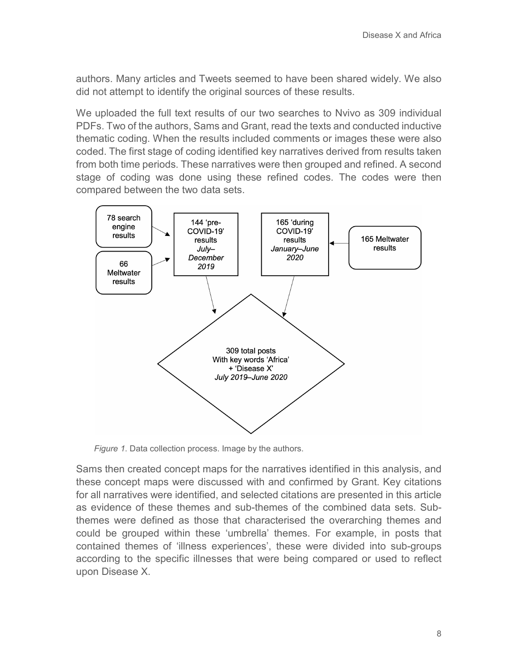authors. Many articles and Tweets seemed to have been shared widely. We also did not attempt to identify the original sources of these results.

We uploaded the full text results of our two searches to Nvivo as 309 individual PDFs. Two of the authors, Sams and Grant, read the texts and conducted inductive thematic coding. When the results included comments or images these were also coded. The first stage of coding identified key narratives derived from results taken from both time periods. These narratives were then grouped and refined. A second stage of coding was done using these refined codes. The codes were then compared between the two data sets.



*Figure 1*. Data collection process. Image by the authors.

Sams then created concept maps for the narratives identified in this analysis, and these concept maps were discussed with and confirmed by Grant. Key citations for all narratives were identified, and selected citations are presented in this article as evidence of these themes and sub-themes of the combined data sets. Subthemes were defined as those that characterised the overarching themes and could be grouped within these 'umbrella' themes. For example, in posts that contained themes of 'illness experiences', these were divided into sub-groups according to the specific illnesses that were being compared or used to reflect upon Disease X.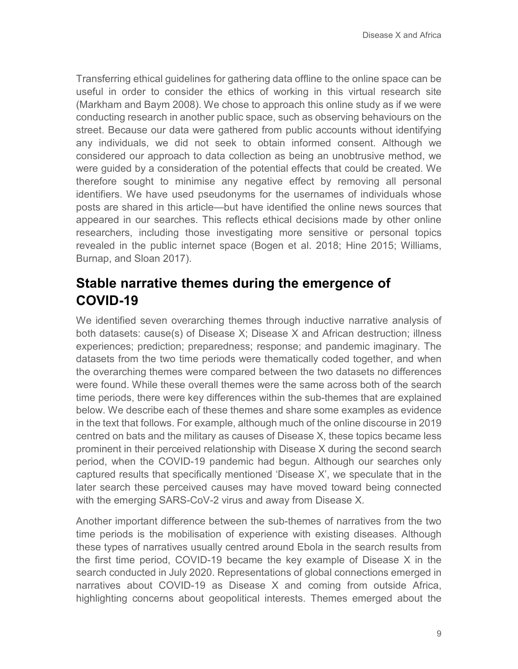Transferring ethical guidelines for gathering data offline to the online space can be useful in order to consider the ethics of working in this virtual research site (Markham and Baym 2008). We chose to approach this online study as if we were conducting research in another public space, such as observing behaviours on the street. Because our data were gathered from public accounts without identifying any individuals, we did not seek to obtain informed consent. Although we considered our approach to data collection as being an unobtrusive method, we were guided by a consideration of the potential effects that could be created. We therefore sought to minimise any negative effect by removing all personal identifiers. We have used pseudonyms for the usernames of individuals whose posts are shared in this article—but have identified the online news sources that appeared in our searches. This reflects ethical decisions made by other online researchers, including those investigating more sensitive or personal topics revealed in the public internet space (Bogen et al. 2018; Hine 2015; Williams, Burnap, and Sloan 2017).

### **Stable narrative themes during the emergence of COVID-19**

We identified seven overarching themes through inductive narrative analysis of both datasets: cause(s) of Disease X; Disease X and African destruction; illness experiences; prediction; preparedness; response; and pandemic imaginary. The datasets from the two time periods were thematically coded together, and when the overarching themes were compared between the two datasets no differences were found. While these overall themes were the same across both of the search time periods, there were key differences within the sub-themes that are explained below. We describe each of these themes and share some examples as evidence in the text that follows. For example, although much of the online discourse in 2019 centred on bats and the military as causes of Disease X, these topics became less prominent in their perceived relationship with Disease X during the second search period, when the COVID-19 pandemic had begun. Although our searches only captured results that specifically mentioned 'Disease X', we speculate that in the later search these perceived causes may have moved toward being connected with the emerging SARS-CoV-2 virus and away from Disease X.

Another important difference between the sub-themes of narratives from the two time periods is the mobilisation of experience with existing diseases. Although these types of narratives usually centred around Ebola in the search results from the first time period, COVID-19 became the key example of Disease X in the search conducted in July 2020. Representations of global connections emerged in narratives about COVID-19 as Disease X and coming from outside Africa, highlighting concerns about geopolitical interests. Themes emerged about the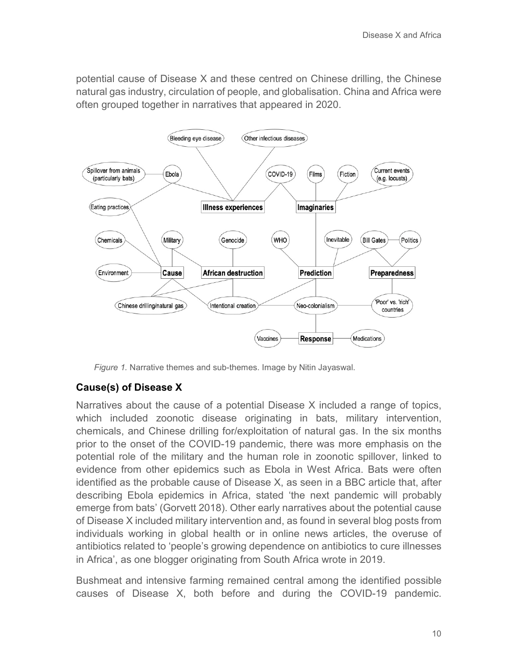potential cause of Disease X and these centred on Chinese drilling, the Chinese natural gas industry, circulation of people, and globalisation. China and Africa were often grouped together in narratives that appeared in 2020.



*Figure 1.* Narrative themes and sub-themes. Image by Nitin Jayaswal.

#### **Cause(s) of Disease X**

Narratives about the cause of a potential Disease X included a range of topics, which included zoonotic disease originating in bats, military intervention, chemicals, and Chinese drilling for/exploitation of natural gas. In the six months prior to the onset of the COVID-19 pandemic, there was more emphasis on the potential role of the military and the human role in zoonotic spillover, linked to evidence from other epidemics such as Ebola in West Africa. Bats were often identified as the probable cause of Disease X, as seen in a BBC article that, after describing Ebola epidemics in Africa, stated 'the next pandemic will probably emerge from bats' (Gorvett 2018). Other early narratives about the potential cause of Disease X included military intervention and, as found in several blog posts from individuals working in global health or in online news articles, the overuse of antibiotics related to 'people's growing dependence on antibiotics to cure illnesses in Africa', as one blogger originating from South Africa wrote in 2019.

Bushmeat and intensive farming remained central among the identified possible causes of Disease X, both before and during the COVID-19 pandemic.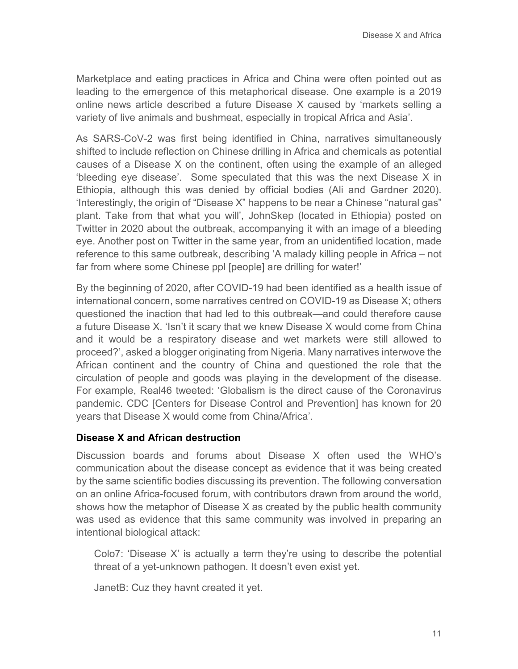Marketplace and eating practices in Africa and China were often pointed out as leading to the emergence of this metaphorical disease. One example is a 2019 online news article described a future Disease X caused by 'markets selling a variety of live animals and bushmeat, especially in tropical Africa and Asia'.

As SARS-CoV-2 was first being identified in China, narratives simultaneously shifted to include reflection on Chinese drilling in Africa and chemicals as potential causes of a Disease X on the continent, often using the example of an alleged 'bleeding eye disease'. Some speculated that this was the next Disease X in Ethiopia, although this was denied by official bodies (Ali and Gardner 2020). 'Interestingly, the origin of "Disease X" happens to be near a Chinese "natural gas" plant. Take from that what you will', JohnSkep (located in Ethiopia) posted on Twitter in 2020 about the outbreak, accompanying it with an image of a bleeding eye. Another post on Twitter in the same year, from an unidentified location, made reference to this same outbreak, describing 'A malady killing people in Africa – not far from where some Chinese ppl [people] are drilling for water!'

By the beginning of 2020, after COVID-19 had been identified as a health issue of international concern, some narratives centred on COVID-19 as Disease X; others questioned the inaction that had led to this outbreak—and could therefore cause a future Disease X. 'Isn't it scary that we knew Disease X would come from China and it would be a respiratory disease and wet markets were still allowed to proceed?', asked a blogger originating from Nigeria. Many narratives interwove the African continent and the country of China and questioned the role that the circulation of people and goods was playing in the development of the disease. For example, Real46 tweeted: 'Globalism is the direct cause of the Coronavirus pandemic. CDC [Centers for Disease Control and Prevention] has known for 20 years that Disease X would come from China/Africa'.

#### **Disease X and African destruction**

Discussion boards and forums about Disease X often used the WHO's communication about the disease concept as evidence that it was being created by the same scientific bodies discussing its prevention. The following conversation on an online Africa-focused forum, with contributors drawn from around the world, shows how the metaphor of Disease X as created by the public health community was used as evidence that this same community was involved in preparing an intentional biological attack:

Colo7: 'Disease X' is actually a term they're using to describe the potential threat of a yet-unknown pathogen. It doesn't even exist yet.

JanetB: Cuz they havnt created it yet.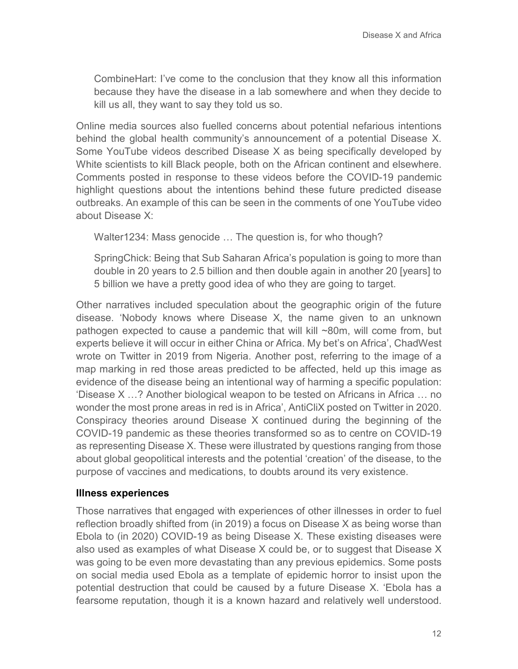CombineHart: I've come to the conclusion that they know all this information because they have the disease in a lab somewhere and when they decide to kill us all, they want to say they told us so.

Online media sources also fuelled concerns about potential nefarious intentions behind the global health community's announcement of a potential Disease X. Some YouTube videos described Disease X as being specifically developed by White scientists to kill Black people, both on the African continent and elsewhere. Comments posted in response to these videos before the COVID-19 pandemic highlight questions about the intentions behind these future predicted disease outbreaks. An example of this can be seen in the comments of one YouTube video about Disease X:

Walter1234: Mass genocide … The question is, for who though?

SpringChick: Being that Sub Saharan Africa's population is going to more than double in 20 years to 2.5 billion and then double again in another 20 [years] to 5 billion we have a pretty good idea of who they are going to target.

Other narratives included speculation about the geographic origin of the future disease. 'Nobody knows where Disease X, the name given to an unknown pathogen expected to cause a pandemic that will kill ~80m, will come from, but experts believe it will occur in either China or Africa. My bet's on Africa', ChadWest wrote on Twitter in 2019 from Nigeria. Another post, referring to the image of a map marking in red those areas predicted to be affected, held up this image as evidence of the disease being an intentional way of harming a specific population: 'Disease X …? Another biological weapon to be tested on Africans in Africa … no wonder the most prone areas in red is in Africa', AntiCliX posted on Twitter in 2020. Conspiracy theories around Disease X continued during the beginning of the COVID-19 pandemic as these theories transformed so as to centre on COVID-19 as representing Disease X. These were illustrated by questions ranging from those about global geopolitical interests and the potential 'creation' of the disease, to the purpose of vaccines and medications, to doubts around its very existence.

#### **Illness experiences**

Those narratives that engaged with experiences of other illnesses in order to fuel reflection broadly shifted from (in 2019) a focus on Disease X as being worse than Ebola to (in 2020) COVID-19 as being Disease X. These existing diseases were also used as examples of what Disease X could be, or to suggest that Disease X was going to be even more devastating than any previous epidemics. Some posts on social media used Ebola as a template of epidemic horror to insist upon the potential destruction that could be caused by a future Disease X. 'Ebola has a fearsome reputation, though it is a known hazard and relatively well understood.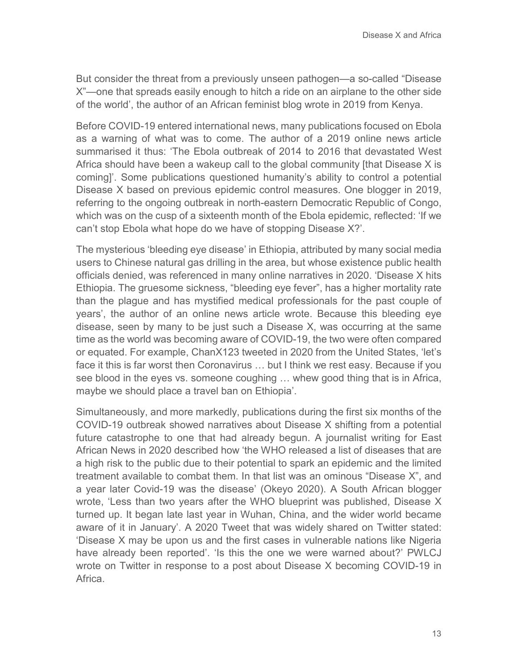But consider the threat from a previously unseen pathogen—a so-called "Disease X"—one that spreads easily enough to hitch a ride on an airplane to the other side of the world', the author of an African feminist blog wrote in 2019 from Kenya.

Before COVID-19 entered international news, many publications focused on Ebola as a warning of what was to come. The author of a 2019 online news article summarised it thus: 'The Ebola outbreak of 2014 to 2016 that devastated West Africa should have been a wakeup call to the global community [that Disease X is coming]'. Some publications questioned humanity's ability to control a potential Disease X based on previous epidemic control measures. One blogger in 2019, referring to the ongoing outbreak in north-eastern Democratic Republic of Congo, which was on the cusp of a sixteenth month of the Ebola epidemic, reflected: 'If we can't stop Ebola what hope do we have of stopping Disease X?'.

The mysterious 'bleeding eye disease' in Ethiopia, attributed by many social media users to Chinese natural gas drilling in the area, but whose existence public health officials denied, was referenced in many online narratives in 2020. 'Disease X hits Ethiopia. The gruesome sickness, "bleeding eye fever", has a higher mortality rate than the plague and has mystified medical professionals for the past couple of years', the author of an online news article wrote. Because this bleeding eye disease, seen by many to be just such a Disease X, was occurring at the same time as the world was becoming aware of COVID-19, the two were often compared or equated. For example, ChanX123 tweeted in 2020 from the United States, 'let's face it this is far worst then Coronavirus … but I think we rest easy. Because if you see blood in the eyes vs. someone coughing … whew good thing that is in Africa, maybe we should place a travel ban on Ethiopia'.

Simultaneously, and more markedly, publications during the first six months of the COVID-19 outbreak showed narratives about Disease X shifting from a potential future catastrophe to one that had already begun. A journalist writing for East African News in 2020 described how 'the WHO released a list of diseases that are a high risk to the public due to their potential to spark an epidemic and the limited treatment available to combat them. In that list was an ominous "Disease X", and a year later Covid-19 was the disease' (Okeyo 2020). A South African blogger wrote, 'Less than two years after the WHO blueprint was published, Disease X turned up. It began late last year in Wuhan, China, and the wider world became aware of it in January'. A 2020 Tweet that was widely shared on Twitter stated: 'Disease X may be upon us and the first cases in vulnerable nations like Nigeria have already been reported'. 'Is this the one we were warned about?' PWLCJ wrote on Twitter in response to a post about Disease X becoming COVID-19 in Africa.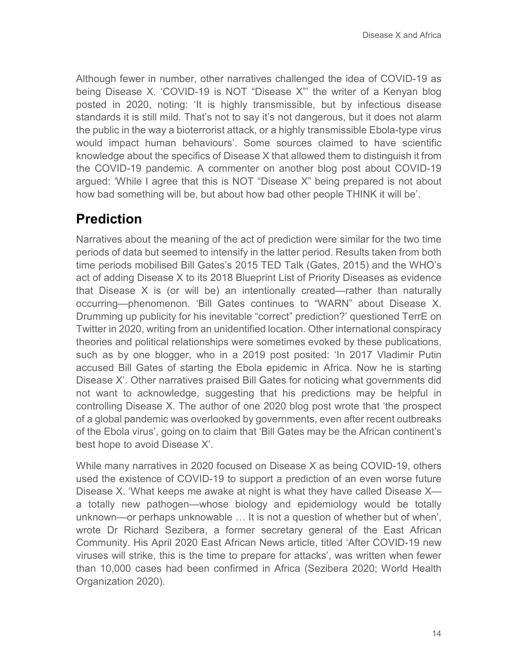Although fewer in number, other narratives challenged the idea of COVID-19 as being Disease X. 'COVID-19 is NOT "Disease X"' the writer of a Kenyan blog posted in 2020, noting: 'It is highly transmissible, but by infectious disease standards it is still mild. That's not to say it's not dangerous, but it does not alarm the public in the way a bioterrorist attack, or a highly transmissible Ebola-type virus would impact human behaviours'. Some sources claimed to have scientific knowledge about the specifics of Disease X that allowed them to distinguish it from the COVID-19 pandemic. A commenter on another blog post about COVID-19 argued: 'While I agree that this is NOT "Disease X" being prepared is not about how bad something will be, but about how bad other people THINK it will be'.

### **Prediction**

Narratives about the meaning of the act of prediction were similar for the two time periods of data but seemed to intensify in the latter period. Results taken from both time periods mobilised Bill Gates's 2015 TED Talk (Gates, 2015) and the WHO's act of adding Disease X to its 2018 Blueprint List of Priority Diseases as evidence that Disease X is (or will be) an intentionally created—rather than naturally occurring—phenomenon. 'Bill Gates continues to "WARN" about Disease X. Drumming up publicity for his inevitable "correct" prediction?' questioned TerrE on Twitter in 2020, writing from an unidentified location. Other international conspiracy theories and political relationships were sometimes evoked by these publications, such as by one blogger, who in a 2019 post posited: 'In 2017 Vladimir Putin accused Bill Gates of starting the Ebola epidemic in Africa. Now he is starting Disease X'. Other narratives praised Bill Gates for noticing what governments did not want to acknowledge, suggesting that his predictions may be helpful in controlling Disease X. The author of one 2020 blog post wrote that 'the prospect of a global pandemic was overlooked by governments, even after recent outbreaks of the Ebola virus', going on to claim that 'Bill Gates may be the African continent's best hope to avoid Disease X'.

While many narratives in 2020 focused on Disease X as being COVID-19, others used the existence of COVID-19 to support a prediction of an even worse future Disease X. 'What keeps me awake at night is what they have called Disease X a totally new pathogen—whose biology and epidemiology would be totally unknown—or perhaps unknowable … It is not a question of whether but of when', wrote Dr Richard Sezibera, a former secretary general of the East African Community. His April 2020 East African News article, titled 'After COVID-19 new viruses will strike, this is the time to prepare for attacks', was written when fewer than 10,000 cases had been confirmed in Africa (Sezibera 2020; World Health Organization 2020).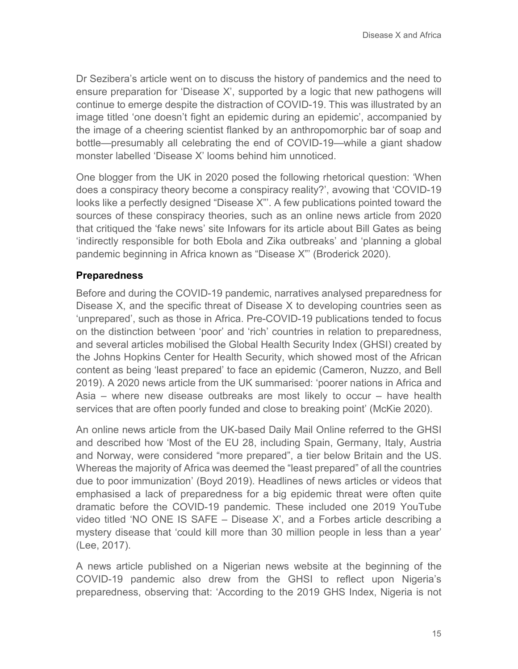Dr Sezibera's article went on to discuss the history of pandemics and the need to ensure preparation for 'Disease X', supported by a logic that new pathogens will continue to emerge despite the distraction of COVID-19. This was illustrated by an image titled 'one doesn't fight an epidemic during an epidemic', accompanied by the image of a cheering scientist flanked by an anthropomorphic bar of soap and bottle—presumably all celebrating the end of COVID-19—while a giant shadow monster labelled 'Disease X' looms behind him unnoticed.

One blogger from the UK in 2020 posed the following rhetorical question: 'When does a conspiracy theory become a conspiracy reality?', avowing that 'COVID-19 looks like a perfectly designed "Disease X"'. A few publications pointed toward the sources of these conspiracy theories, such as an online news article from 2020 that critiqued the 'fake news' site Infowars for its article about Bill Gates as being 'indirectly responsible for both Ebola and Zika outbreaks' and 'planning a global pandemic beginning in Africa known as "Disease X"' (Broderick 2020).

#### **Preparedness**

Before and during the COVID-19 pandemic, narratives analysed preparedness for Disease X, and the specific threat of Disease X to developing countries seen as 'unprepared', such as those in Africa. Pre-COVID-19 publications tended to focus on the distinction between 'poor' and 'rich' countries in relation to preparedness, and several articles mobilised the Global Health Security Index (GHSI) created by the Johns Hopkins Center for Health Security, which showed most of the African content as being 'least prepared' to face an epidemic (Cameron, Nuzzo, and Bell 2019). A 2020 news article from the UK summarised: 'poorer nations in Africa and Asia – where new disease outbreaks are most likely to occur – have health services that are often poorly funded and close to breaking point' (McKie 2020).

An online news article from the UK-based Daily Mail Online referred to the GHSI and described how 'Most of the EU 28, including Spain, Germany, Italy, Austria and Norway, were considered "more prepared", a tier below Britain and the US. Whereas the majority of Africa was deemed the "least prepared" of all the countries due to poor immunization' (Boyd 2019). Headlines of news articles or videos that emphasised a lack of preparedness for a big epidemic threat were often quite dramatic before the COVID-19 pandemic. These included one 2019 YouTube video titled 'NO ONE IS SAFE – Disease X', and a Forbes article describing a mystery disease that 'could kill more than 30 million people in less than a year' (Lee, 2017).

A news article published on a Nigerian news website at the beginning of the COVID-19 pandemic also drew from the GHSI to reflect upon Nigeria's preparedness, observing that: 'According to the 2019 GHS Index, Nigeria is not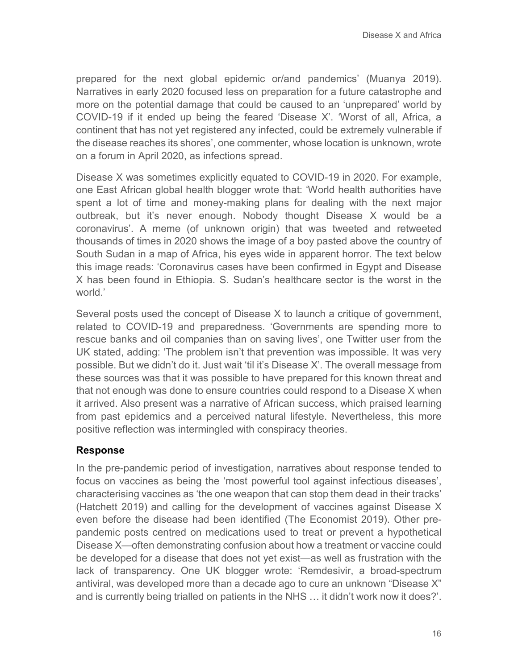prepared for the next global epidemic or/and pandemics' (Muanya 2019). Narratives in early 2020 focused less on preparation for a future catastrophe and more on the potential damage that could be caused to an 'unprepared' world by COVID-19 if it ended up being the feared 'Disease X'. 'Worst of all, Africa, a continent that has not yet registered any infected, could be extremely vulnerable if the disease reaches its shores', one commenter, whose location is unknown, wrote on a forum in April 2020, as infections spread.

Disease X was sometimes explicitly equated to COVID-19 in 2020. For example, one East African global health blogger wrote that: 'World health authorities have spent a lot of time and money-making plans for dealing with the next major outbreak, but it's never enough. Nobody thought Disease X would be a coronavirus'. A meme (of unknown origin) that was tweeted and retweeted thousands of times in 2020 shows the image of a boy pasted above the country of South Sudan in a map of Africa, his eyes wide in apparent horror. The text below this image reads: 'Coronavirus cases have been confirmed in Egypt and Disease X has been found in Ethiopia. S. Sudan's healthcare sector is the worst in the world<sup>'</sup>

Several posts used the concept of Disease X to launch a critique of government, related to COVID-19 and preparedness. 'Governments are spending more to rescue banks and oil companies than on saving lives', one Twitter user from the UK stated, adding: 'The problem isn't that prevention was impossible. It was very possible. But we didn't do it. Just wait 'til it's Disease X'. The overall message from these sources was that it was possible to have prepared for this known threat and that not enough was done to ensure countries could respond to a Disease X when it arrived. Also present was a narrative of African success, which praised learning from past epidemics and a perceived natural lifestyle. Nevertheless, this more positive reflection was intermingled with conspiracy theories.

#### **Response**

In the pre-pandemic period of investigation, narratives about response tended to focus on vaccines as being the 'most powerful tool against infectious diseases', characterising vaccines as 'the one weapon that can stop them dead in their tracks' (Hatchett 2019) and calling for the development of vaccines against Disease X even before the disease had been identified (The Economist 2019). Other prepandemic posts centred on medications used to treat or prevent a hypothetical Disease X—often demonstrating confusion about how a treatment or vaccine could be developed for a disease that does not yet exist—as well as frustration with the lack of transparency. One UK blogger wrote: 'Remdesivir, a broad-spectrum antiviral, was developed more than a decade ago to cure an unknown "Disease X" and is currently being trialled on patients in the NHS … it didn't work now it does?'.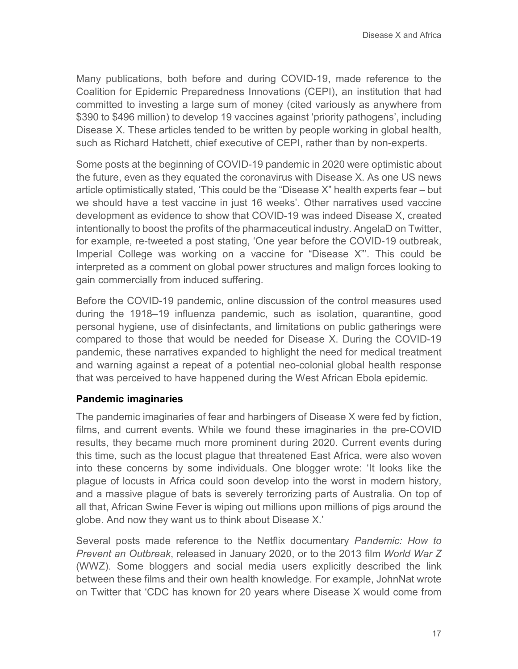Many publications, both before and during COVID-19, made reference to the Coalition for Epidemic Preparedness Innovations (CEPI), an institution that had committed to investing a large sum of money (cited variously as anywhere from \$390 to \$496 million) to develop 19 vaccines against 'priority pathogens', including Disease X. These articles tended to be written by people working in global health, such as Richard Hatchett, chief executive of CEPI, rather than by non-experts.

Some posts at the beginning of COVID-19 pandemic in 2020 were optimistic about the future, even as they equated the coronavirus with Disease X. As one US news article optimistically stated, 'This could be the "Disease X" health experts fear – but we should have a test vaccine in just 16 weeks'. Other narratives used vaccine development as evidence to show that COVID-19 was indeed Disease X, created intentionally to boost the profits of the pharmaceutical industry. AngelaD on Twitter, for example, re-tweeted a post stating, 'One year before the COVID-19 outbreak, Imperial College was working on a vaccine for "Disease X"'. This could be interpreted as a comment on global power structures and malign forces looking to gain commercially from induced suffering.

Before the COVID-19 pandemic, online discussion of the control measures used during the 1918–19 influenza pandemic, such as isolation, quarantine, good personal hygiene, use of disinfectants, and limitations on public gatherings were compared to those that would be needed for Disease X. During the COVID-19 pandemic, these narratives expanded to highlight the need for medical treatment and warning against a repeat of a potential neo-colonial global health response that was perceived to have happened during the West African Ebola epidemic.

#### **Pandemic imaginaries**

The pandemic imaginaries of fear and harbingers of Disease X were fed by fiction, films, and current events. While we found these imaginaries in the pre-COVID results, they became much more prominent during 2020. Current events during this time, such as the locust plague that threatened East Africa, were also woven into these concerns by some individuals. One blogger wrote: 'It looks like the plague of locusts in Africa could soon develop into the worst in modern history, and a massive plague of bats is severely terrorizing parts of Australia. On top of all that, African Swine Fever is wiping out millions upon millions of pigs around the globe. And now they want us to think about Disease X.'

Several posts made reference to the Netflix documentary *Pandemic: How to Prevent an Outbreak*, released in January 2020, or to the 2013 film *World War Z* (WWZ). Some bloggers and social media users explicitly described the link between these films and their own health knowledge. For example, JohnNat wrote on Twitter that 'CDC has known for 20 years where Disease X would come from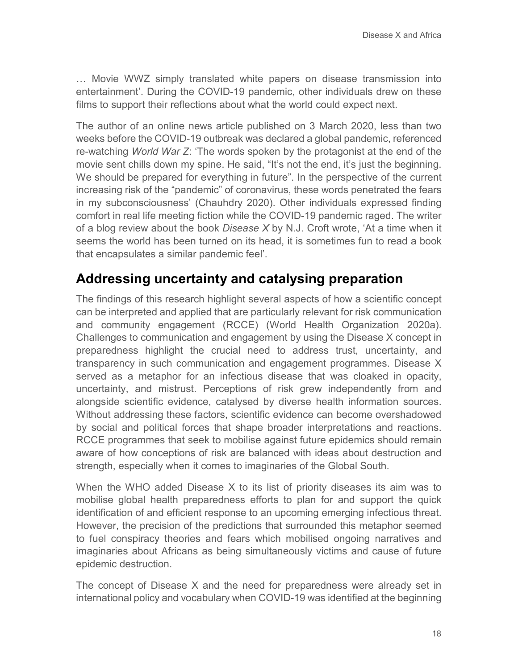… Movie WWZ simply translated white papers on disease transmission into entertainment'. During the COVID-19 pandemic, other individuals drew on these films to support their reflections about what the world could expect next.

The author of an online news article published on 3 March 2020, less than two weeks before the COVID-19 outbreak was declared a global pandemic, referenced re-watching *World War Z*: 'The words spoken by the protagonist at the end of the movie sent chills down my spine. He said, "It's not the end, it's just the beginning. We should be prepared for everything in future". In the perspective of the current increasing risk of the "pandemic" of coronavirus, these words penetrated the fears in my subconsciousness' (Chauhdry 2020). Other individuals expressed finding comfort in real life meeting fiction while the COVID-19 pandemic raged. The writer of a blog review about the book *Disease X* by N.J. Croft wrote, 'At a time when it seems the world has been turned on its head, it is sometimes fun to read a book that encapsulates a similar pandemic feel'.

### **Addressing uncertainty and catalysing preparation**

The findings of this research highlight several aspects of how a scientific concept can be interpreted and applied that are particularly relevant for risk communication and community engagement (RCCE) (World Health Organization 2020a). Challenges to communication and engagement by using the Disease X concept in preparedness highlight the crucial need to address trust, uncertainty, and transparency in such communication and engagement programmes. Disease X served as a metaphor for an infectious disease that was cloaked in opacity, uncertainty, and mistrust. Perceptions of risk grew independently from and alongside scientific evidence, catalysed by diverse health information sources. Without addressing these factors, scientific evidence can become overshadowed by social and political forces that shape broader interpretations and reactions. RCCE programmes that seek to mobilise against future epidemics should remain aware of how conceptions of risk are balanced with ideas about destruction and strength, especially when it comes to imaginaries of the Global South.

When the WHO added Disease X to its list of priority diseases its aim was to mobilise global health preparedness efforts to plan for and support the quick identification of and efficient response to an upcoming emerging infectious threat. However, the precision of the predictions that surrounded this metaphor seemed to fuel conspiracy theories and fears which mobilised ongoing narratives and imaginaries about Africans as being simultaneously victims and cause of future epidemic destruction.

The concept of Disease X and the need for preparedness were already set in international policy and vocabulary when COVID-19 was identified at the beginning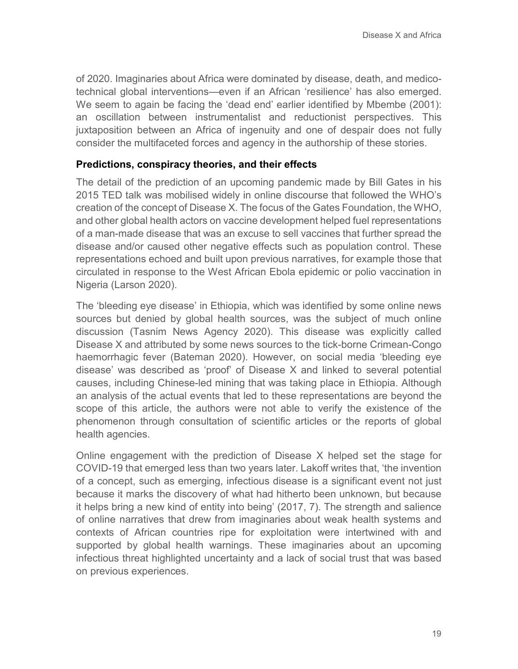of 2020. Imaginaries about Africa were dominated by disease, death, and medicotechnical global interventions—even if an African 'resilience' has also emerged. We seem to again be facing the 'dead end' earlier identified by Mbembe (2001): an oscillation between instrumentalist and reductionist perspectives. This juxtaposition between an Africa of ingenuity and one of despair does not fully consider the multifaceted forces and agency in the authorship of these stories.

#### **Predictions, conspiracy theories, and their effects**

The detail of the prediction of an upcoming pandemic made by Bill Gates in his 2015 TED talk was mobilised widely in online discourse that followed the WHO's creation of the concept of Disease X. The focus of the Gates Foundation, the WHO, and other global health actors on vaccine development helped fuel representations of a man-made disease that was an excuse to sell vaccines that further spread the disease and/or caused other negative effects such as population control. These representations echoed and built upon previous narratives, for example those that circulated in response to the West African Ebola epidemic or polio vaccination in Nigeria (Larson 2020).

The 'bleeding eye disease' in Ethiopia, which was identified by some online news sources but denied by global health sources, was the subject of much online discussion (Tasnim News Agency 2020). This disease was explicitly called Disease X and attributed by some news sources to the tick-borne Crimean-Congo haemorrhagic fever (Bateman 2020). However, on social media 'bleeding eye disease' was described as 'proof' of Disease X and linked to several potential causes, including Chinese-led mining that was taking place in Ethiopia. Although an analysis of the actual events that led to these representations are beyond the scope of this article, the authors were not able to verify the existence of the phenomenon through consultation of scientific articles or the reports of global health agencies.

Online engagement with the prediction of Disease X helped set the stage for COVID-19 that emerged less than two years later. Lakoff writes that, 'the invention of a concept, such as emerging, infectious disease is a significant event not just because it marks the discovery of what had hitherto been unknown, but because it helps bring a new kind of entity into being' (2017, 7). The strength and salience of online narratives that drew from imaginaries about weak health systems and contexts of African countries ripe for exploitation were intertwined with and supported by global health warnings. These imaginaries about an upcoming infectious threat highlighted uncertainty and a lack of social trust that was based on previous experiences.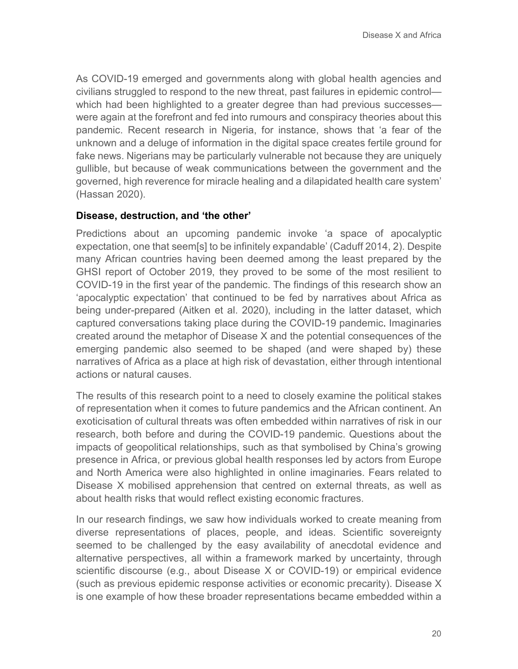As COVID-19 emerged and governments along with global health agencies and civilians struggled to respond to the new threat, past failures in epidemic control which had been highlighted to a greater degree than had previous successes were again at the forefront and fed into rumours and conspiracy theories about this pandemic. Recent research in Nigeria, for instance, shows that 'a fear of the unknown and a deluge of information in the digital space creates fertile ground for fake news. Nigerians may be particularly vulnerable not because they are uniquely gullible, but because of weak communications between the government and the governed, high reverence for miracle healing and a dilapidated health care system' (Hassan 2020).

#### **Disease, destruction, and 'the other'**

Predictions about an upcoming pandemic invoke 'a space of apocalyptic expectation, one that seem[s] to be infinitely expandable' (Caduff 2014, 2). Despite many African countries having been deemed among the least prepared by the GHSI report of October 2019, they proved to be some of the most resilient to COVID-19 in the first year of the pandemic. The findings of this research show an 'apocalyptic expectation' that continued to be fed by narratives about Africa as being under-prepared (Aitken et al. 2020), including in the latter dataset, which captured conversations taking place during the COVID-19 pandemic. Imaginaries created around the metaphor of Disease X and the potential consequences of the emerging pandemic also seemed to be shaped (and were shaped by) these narratives of Africa as a place at high risk of devastation, either through intentional actions or natural causes.

The results of this research point to a need to closely examine the political stakes of representation when it comes to future pandemics and the African continent. An exoticisation of cultural threats was often embedded within narratives of risk in our research, both before and during the COVID-19 pandemic. Questions about the impacts of geopolitical relationships, such as that symbolised by China's growing presence in Africa, or previous global health responses led by actors from Europe and North America were also highlighted in online imaginaries. Fears related to Disease X mobilised apprehension that centred on external threats, as well as about health risks that would reflect existing economic fractures.

In our research findings, we saw how individuals worked to create meaning from diverse representations of places, people, and ideas. Scientific sovereignty seemed to be challenged by the easy availability of anecdotal evidence and alternative perspectives, all within a framework marked by uncertainty, through scientific discourse (e.g., about Disease X or COVID-19) or empirical evidence (such as previous epidemic response activities or economic precarity). Disease X is one example of how these broader representations became embedded within a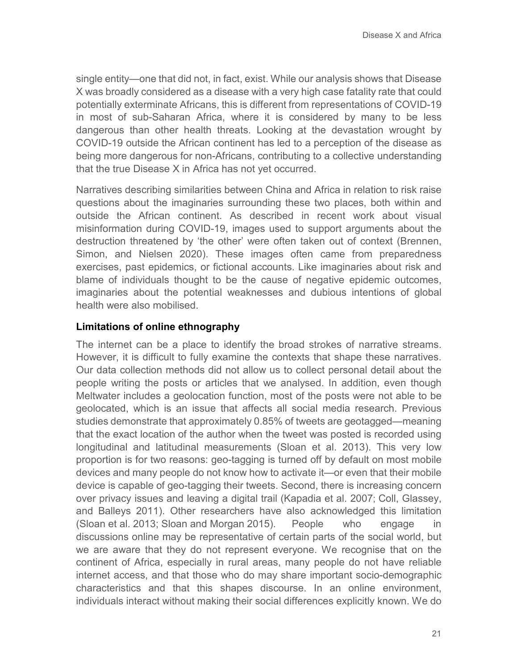single entity—one that did not, in fact, exist. While our analysis shows that Disease X was broadly considered as a disease with a very high case fatality rate that could potentially exterminate Africans, this is different from representations of COVID-19 in most of sub-Saharan Africa, where it is considered by many to be less dangerous than other health threats. Looking at the devastation wrought by COVID-19 outside the African continent has led to a perception of the disease as being more dangerous for non-Africans, contributing to a collective understanding that the true Disease X in Africa has not yet occurred.

Narratives describing similarities between China and Africa in relation to risk raise questions about the imaginaries surrounding these two places, both within and outside the African continent. As described in recent work about visual misinformation during COVID-19, images used to support arguments about the destruction threatened by 'the other' were often taken out of context (Brennen, Simon, and Nielsen 2020). These images often came from preparedness exercises, past epidemics, or fictional accounts. Like imaginaries about risk and blame of individuals thought to be the cause of negative epidemic outcomes, imaginaries about the potential weaknesses and dubious intentions of global health were also mobilised.

#### **Limitations of online ethnography**

The internet can be a place to identify the broad strokes of narrative streams. However, it is difficult to fully examine the contexts that shape these narratives. Our data collection methods did not allow us to collect personal detail about the people writing the posts or articles that we analysed. In addition, even though Meltwater includes a geolocation function, most of the posts were not able to be geolocated, which is an issue that affects all social media research. Previous studies demonstrate that approximately 0.85% of tweets are geotagged—meaning that the exact location of the author when the tweet was posted is recorded using longitudinal and latitudinal measurements (Sloan et al. 2013). This very low proportion is for two reasons: geo-tagging is turned off by default on most mobile devices and many people do not know how to activate it—or even that their mobile device is capable of geo-tagging their tweets. Second, there is increasing concern over privacy issues and leaving a digital trail (Kapadia et al. 2007; Coll, Glassey, and Balleys 2011). Other researchers have also acknowledged this limitation (Sloan et al. 2013; Sloan and Morgan 2015). People who engage in discussions online may be representative of certain parts of the social world, but we are aware that they do not represent everyone. We recognise that on the continent of Africa, especially in rural areas, many people do not have reliable internet access, and that those who do may share important socio-demographic characteristics and that this shapes discourse. In an online environment, individuals interact without making their social differences explicitly known. We do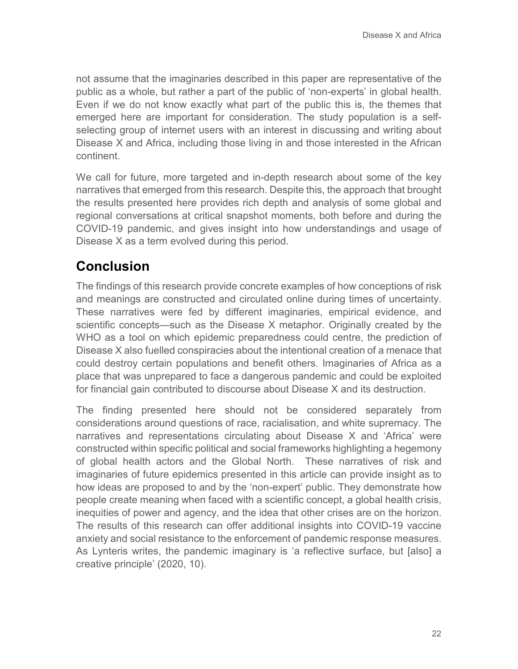not assume that the imaginaries described in this paper are representative of the public as a whole, but rather a part of the public of 'non-experts' in global health. Even if we do not know exactly what part of the public this is, the themes that emerged here are important for consideration. The study population is a selfselecting group of internet users with an interest in discussing and writing about Disease X and Africa, including those living in and those interested in the African continent.

We call for future, more targeted and in-depth research about some of the key narratives that emerged from this research. Despite this, the approach that brought the results presented here provides rich depth and analysis of some global and regional conversations at critical snapshot moments, both before and during the COVID-19 pandemic, and gives insight into how understandings and usage of Disease X as a term evolved during this period.

### **Conclusion**

The findings of this research provide concrete examples of how conceptions of risk and meanings are constructed and circulated online during times of uncertainty. These narratives were fed by different imaginaries, empirical evidence, and scientific concepts—such as the Disease X metaphor. Originally created by the WHO as a tool on which epidemic preparedness could centre, the prediction of Disease X also fuelled conspiracies about the intentional creation of a menace that could destroy certain populations and benefit others. Imaginaries of Africa as a place that was unprepared to face a dangerous pandemic and could be exploited for financial gain contributed to discourse about Disease X and its destruction.

The finding presented here should not be considered separately from considerations around questions of race, racialisation, and white supremacy. The narratives and representations circulating about Disease X and 'Africa' were constructed within specific political and social frameworks highlighting a hegemony of global health actors and the Global North. These narratives of risk and imaginaries of future epidemics presented in this article can provide insight as to how ideas are proposed to and by the 'non-expert' public. They demonstrate how people create meaning when faced with a scientific concept, a global health crisis, inequities of power and agency, and the idea that other crises are on the horizon. The results of this research can offer additional insights into COVID-19 vaccine anxiety and social resistance to the enforcement of pandemic response measures. As Lynteris writes, the pandemic imaginary is 'a reflective surface, but [also] a creative principle' (2020, 10).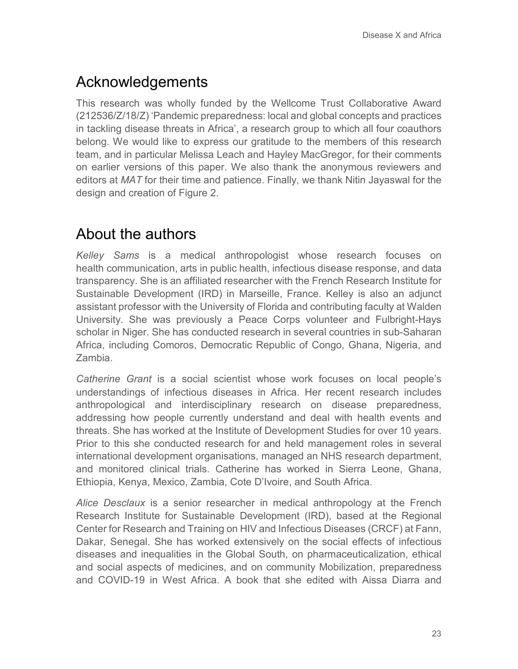# Acknowledgements

This research was wholly funded by the Wellcome Trust Collaborative Award (212536/Z/18/Z) 'Pandemic preparedness: local and global concepts and practices in tackling disease threats in Africa', a research group to which all four coauthors belong. We would like to express our gratitude to the members of this research team, and in particular Melissa Leach and Hayley MacGregor, for their comments on earlier versions of this paper. We also thank the anonymous reviewers and editors at *MAT* for their time and patience. Finally, we thank Nitin Jayaswal for the design and creation of Figure 2.

# About the authors

*Kelley Sams* is a medical anthropologist whose research focuses on health communication, arts in public health, infectious disease response, and data transparency. She is an affiliated researcher with the French Research Institute for Sustainable Development (IRD) in Marseille, France. Kelley is also an adjunct assistant professor with the University of Florida and contributing faculty at Walden University. She was previously a Peace Corps volunteer and Fulbright-Hays scholar in Niger. She has conducted research in several countries in sub-Saharan Africa, including Comoros, Democratic Republic of Congo, Ghana, Nigeria, and Zambia.

*Catherine Grant* is a social scientist whose work focuses on local people's understandings of infectious diseases in Africa. Her recent research includes anthropological and interdisciplinary research on disease preparedness, addressing how people currently understand and deal with health events and threats. She has worked at the Institute of Development Studies for over 10 years. Prior to this she conducted research for and held management roles in several international development organisations, managed an NHS research department, and monitored clinical trials. Catherine has worked in Sierra Leone, Ghana, Ethiopia, Kenya, Mexico, Zambia, Cote D'Ivoire, and South Africa.

*Alice Desclaux* is a senior researcher in medical anthropology at the French Research Institute for Sustainable Development (IRD), based at the Regional Center for Research and Training on HIV and Infectious Diseases (CRCF) at Fann, Dakar, Senegal. She has worked extensively on the social effects of infectious diseases and inequalities in the Global South, on pharmaceuticalization, ethical and social aspects of medicines, and on community Mobilization, preparedness and COVID-19 in West Africa. A book that she edited with Aissa Diarra and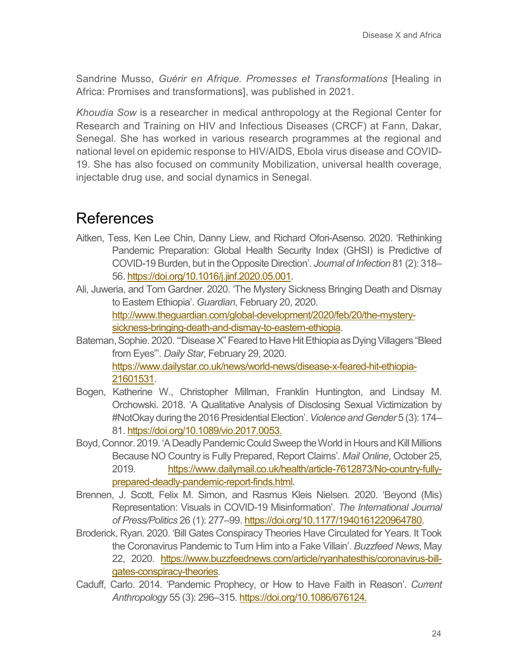Sandrine Musso, *Guérir en Afrique. Promesses et Transformations* [Healing in Africa: Promises and transformations], was published in 2021.

*Khoudia Sow* is a researcher in medical anthropology at the Regional Center for Research and Training on HIV and Infectious Diseases (CRCF) at Fann, Dakar, Senegal. She has worked in various research programmes at the regional and national level on epidemic response to HIV/AIDS, Ebola virus disease and COVID-19. She has also focused on community Mobilization, universal health coverage, injectable drug use, and social dynamics in Senegal.

### References

- Aitken, Tess, Ken Lee Chin, Danny Liew, and Richard Ofori-Asenso. 2020. 'Rethinking Pandemic Preparation: Global Health Security Index (GHSI) is Predictive of COVID-19 Burden, but in the Opposite Direction'. *Journal of Infection* 81 (2): 318– 56[. https://doi.org/10.1016/j.jinf.2020.05.001.](https://dx.doi.org/10.1016%2Fj.jinf.2020.05.001)
- Ali, Juweria, and Tom Gardner. 2020. 'The Mystery Sickness Bringing Death and Dismay to Eastern Ethiopia'. *Guardian*, February 20, 2020. [http://www.theguardian.com/global-development/2020/feb/20/the-mystery](http://www.theguardian.com/global-development/2020/feb/20/the-mystery-sickness-bringing-death-and-dismay-to-eastern-ethiopia)[sickness-bringing-death-and-dismay-to-eastern-ethiopia.](http://www.theguardian.com/global-development/2020/feb/20/the-mystery-sickness-bringing-death-and-dismay-to-eastern-ethiopia)
- Bateman, Sophie. 2020. '"Disease X" Feared to Have Hit Ethiopia as Dying Villagers "Bleed from Eyes"'. *Daily Star*, February 29, 2020. [https://www.dailystar.co.uk/news/world-news/disease-x-feared-hit-ethiopia-](https://www.dailystar.co.uk/news/world-news/disease-x-feared-hit-ethiopia-21601531)[21601531.](https://www.dailystar.co.uk/news/world-news/disease-x-feared-hit-ethiopia-21601531)
- Bogen, Katherine W., Christopher Millman, Franklin Huntington, and Lindsay M. Orchowski. 2018. 'A Qualitative Analysis of Disclosing Sexual Victimization by #NotOkay during the 2016 Presidential Election'. *Violence and Gender* 5 (3): 174– 81[. https://doi.org/10.1089/vio.2017.0053.](https://doi.org/10.1089/vio.2017.0053)
- Boyd, Connor. 2019. 'A Deadly Pandemic Could Sweep the World in Hours and Kill Millions Because NO Country is Fully Prepared, Report Claims'. *Mail Online*, October 25, 2019. [https://www.dailymail.co.uk/health/article-7612873/No-country-fully](https://www.dailymail.co.uk/health/article-7612873/No-country-fully-prepared-deadly-pandemic-report-finds.html)[prepared-deadly-pandemic-report-finds.html.](https://www.dailymail.co.uk/health/article-7612873/No-country-fully-prepared-deadly-pandemic-report-finds.html)
- Brennen, J. Scott, Felix M. Simon, and Rasmus Kleis Nielsen. 2020. 'Beyond (Mis) Representation: Visuals in COVID-19 Misinformation'. *The International Journal of Press/Politics* 26 (1): 277–99. [https://doi.org/10.1177/1940161220964780.](https://doi.org/10.1177/1940161220964780)
- Broderick, Ryan. 2020. 'Bill Gates Conspiracy Theories Have Circulated for Years. It Took the Coronavirus Pandemic to Turn Him into a Fake Villain'. *Buzzfeed News*, May 22, 2020. [https://www.buzzfeednews.com/article/ryanhatesthis/coronavirus-bill](https://www.buzzfeednews.com/article/ryanhatesthis/coronavirus-bill-gates-conspiracy-theories)[gates-conspiracy-theories.](https://www.buzzfeednews.com/article/ryanhatesthis/coronavirus-bill-gates-conspiracy-theories)
- Caduff, Carlo. 2014. 'Pandemic Prophecy, or How to Have Faith in Reason'. *Current Anthropology* 55 (3): 296–315. [https://doi.org/10.1086/676124.](https://doi.org/10.1086/676124)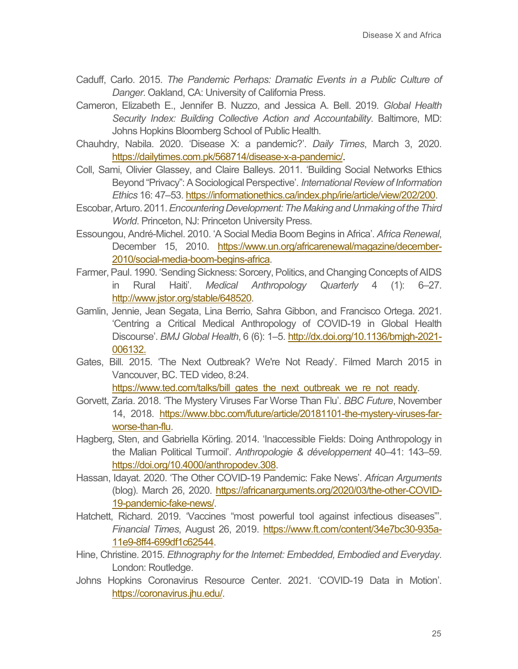- Caduff, Carlo. 2015. *The Pandemic Perhaps: Dramatic Events in a Public Culture of Danger*. Oakland, CA: University of California Press.
- Cameron, Elizabeth E., Jennifer B. Nuzzo, and Jessica A. Bell. 2019. *Global Health Security Index: Building Collective Action and Accountability*. Baltimore, MD: Johns Hopkins Bloomberg School of Public Health.
- Chauhdry, Nabila. 2020. 'Disease X: a pandemic?'. *Daily Times*, March 3, 2020. [https://dailytimes.com.pk/568714/disease-x-a-pandemic/.](https://dailytimes.com.pk/568714/disease-x-a-pandemic/)
- Coll, Sami, Olivier Glassey, and Claire Balleys. 2011. 'Building Social Networks Ethics Beyond "Privacy": A Sociological Perspective'. *International Review of Information Ethics* 16: 47–53[. https://informationethics.ca/index.php/irie/article/view/202/200.](https://informationethics.ca/index.php/irie/article/view/202/200)
- Escobar, Arturo. 2011. *Encountering Development: The Making and Unmaking of the Third World*. Princeton, NJ: Princeton University Press.
- Essoungou, André-Michel. 2010. 'A Social Media Boom Begins in Africa'. *Africa Renewal*, December 15, 2010. [https://www.un.org/africarenewal/magazine/december-](https://www.un.org/africarenewal/magazine/december-2010/social-media-boom-begins-africa)[2010/social-media-boom-begins-africa.](https://www.un.org/africarenewal/magazine/december-2010/social-media-boom-begins-africa)
- Farmer, Paul. 1990. 'Sending Sickness: Sorcery, Politics, and Changing Concepts of AIDS in Rural Haiti'. *Medical Anthropology Quarterly* 4 (1): 6–27. [http://www.jstor.org/stable/648520.](http://www.jstor.org/stable/648520)
- Gamlin, Jennie, Jean Segata, Lina Berrio, Sahra Gibbon, and Francisco Ortega. 2021. 'Centring a Critical Medical Anthropology of COVID-19 in Global Health Discourse'. *BMJ Global Health*, 6 (6): 1–5. [http://dx.doi.org/10.1136/bmjgh-2021-](http://dx.doi.org/10.1136/bmjgh-2021-006132) [006132.](http://dx.doi.org/10.1136/bmjgh-2021-006132)
- Gates, Bill. 2015. 'The Next Outbreak? We're Not Ready'. Filmed March 2015 in Vancouver, BC. TED video, 8:24.

[https://www.ted.com/talks/bill\\_gates\\_the\\_next\\_outbreak\\_we\\_re\\_not\\_ready.](https://www.ted.com/talks/bill_gates_the_next_outbreak_we_re_not_ready)

- Gorvett, Zaria. 2018. 'The Mystery Viruses Far Worse Than Flu'. *BBC Future*, November 14, 2018. [https://www.bbc.com/future/article/20181101-the-mystery-viruses-far](https://www.bbc.com/future/article/20181101-the-mystery-viruses-far-worse-than-flu)[worse-than-flu.](https://www.bbc.com/future/article/20181101-the-mystery-viruses-far-worse-than-flu)
- Hagberg, Sten, and Gabriella Körling. 2014. 'Inaccessible Fields: Doing Anthropology in the Malian Political Turmoil'. *Anthropologie & développement* 40–41: 143–59. [https://doi.org/10.4000/anthropodev.308.](https://doi.org/10.4000/anthropodev.308)
- Hassan, Idayat. 2020. 'The Other COVID-19 Pandemic: Fake News'. *African Arguments* (blog). March 26, 2020. [https://africanarguments.org/2020/03/the-other-COVID-](https://africanarguments.org/2020/03/the-other-COVID-19-pandemic-fake-news/)[19-pandemic-fake-news/.](https://africanarguments.org/2020/03/the-other-COVID-19-pandemic-fake-news/)
- Hatchett, Richard. 2019. 'Vaccines "most powerful tool against infectious diseases"'. *Financial Times*, August 26, 2019. [https://www.ft.com/content/34e7bc30-935a-](https://www.ft.com/content/34e7bc30-935a-11e9-8ff4-699df1c62544)[11e9-8ff4-699df1c62544.](https://www.ft.com/content/34e7bc30-935a-11e9-8ff4-699df1c62544)
- Hine, Christine. 2015. *Ethnography for the Internet: Embedded, Embodied and Everyday*. London: Routledge.
- Johns Hopkins Coronavirus Resource Center. 2021. 'COVID-19 Data in Motion'. [https://coronavirus.jhu.edu/.](https://coronavirus.jhu.edu/)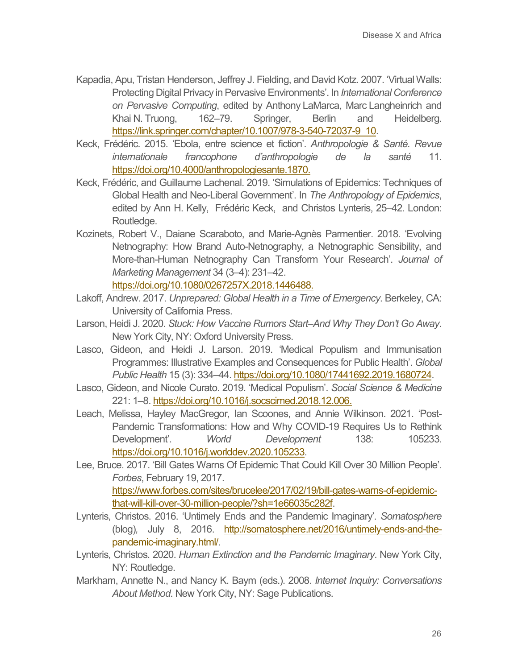- Kapadia, Apu, Tristan Henderson, Jeffrey J. Fielding, and David Kotz. 2007. 'Virtual Walls: Protecting Digital Privacy in Pervasive Environments'. In *International Conference on Pervasive Computing*, edited by Anthony LaMarca, Marc Langheinrich and Khai N. Truong, 162–79. Springer, Berlin and Heidelberg. [https://link.springer.com/chapter/10.1007/978-3-540-72037-9\\_10.](https://link.springer.com/chapter/10.1007/978-3-540-72037-9_10)
- Keck, Frédéric. 2015. 'Ebola, entre science et fiction'. *Anthropologie & Santé. Revue internationale francophone d'anthropologie de la santé* 11. [https://doi.org/10.4000/anthropologiesante.1870.](https://doi.org/10.4000/anthropologiesante.1870)
- Keck, Frédéric, and Guillaume Lachenal. 2019. 'Simulations of Epidemics: Techniques of Global Health and Neo-Liberal Government'. In *The Anthropology of Epidemics*, edited by Ann H. Kelly, Frédéric Keck, and Christos Lynteris, 25–42. London: Routledge.
- Kozinets, Robert V., Daiane Scaraboto, and Marie-Agnès Parmentier. 2018. 'Evolving Netnography: How Brand Auto-Netnography, a Netnographic Sensibility, and More-than-Human Netnography Can Transform Your Research'. *Journal of Marketing Management* 34 (3–4): 231–42.

[https://doi.org/10.1080/0267257X.2018.1446488.](https://doi.org/10.1080/0267257X.2018.1446488)

- Lakoff, Andrew. 2017. *Unprepared: Global Health in a Time of Emergency*. Berkeley, CA: University of California Press.
- Larson, Heidi J. 2020. *Stuck: How Vaccine Rumors Start–And Why They Don't Go Away*. New York City, NY: Oxford University Press.
- Lasco, Gideon, and Heidi J. Larson. 2019. 'Medical Populism and Immunisation Programmes: Illustrative Examples and Consequences for Public Health'. *Global Public Health* 15 (3): 334–44. [https://doi.org/10.1080/17441692.2019.1680724.](https://doi.org/10.1080/17441692.2019.1680724)
- Lasco, Gideon, and Nicole Curato. 2019. 'Medical Populism'. *Social Science & Medicine* 221: 1–8. [https://doi.org/10.1016/j.socscimed.2018.12.006.](https://doi.org/10.1016/j.socscimed.2018.12.006)
- Leach, Melissa, Hayley MacGregor, Ian Scoones, and Annie Wilkinson. 2021. 'Post-Pandemic Transformations: How and Why COVID-19 Requires Us to Rethink Development'. *World Development* 138: 105233. [https://doi.org/10.1016/j.worlddev.2020.105233.](https://doi.org/10.1016/j.worlddev.2020.105233)
- Lee, Bruce. 2017. 'Bill Gates Warns Of Epidemic That Could Kill Over 30 Million People'. *Forbes*, February 19, 2017. [https://www.forbes.com/sites/brucelee/2017/02/19/bill-gates-warns-of-epidemic](https://www.forbes.com/sites/brucelee/2017/02/19/bill-gates-warns-of-epidemic-that-will-kill-over-30-million-people/?sh=1e66035c282f)[that-will-kill-over-30-million-people/?sh=1e66035c282f.](https://www.forbes.com/sites/brucelee/2017/02/19/bill-gates-warns-of-epidemic-that-will-kill-over-30-million-people/?sh=1e66035c282f)
- Lynteris, Christos. 2016. 'Untimely Ends and the Pandemic Imaginary'. *Somatosphere* (blog)*,* July 8, 2016. [http://somatosphere.net/2016/untimely-ends-and-the](http://somatosphere.net/2016/untimely-ends-and-the-pandemic-imaginary.html/)[pandemic-imaginary.html/.](http://somatosphere.net/2016/untimely-ends-and-the-pandemic-imaginary.html/)
- Lynteris, Christos. 2020. *Human Extinction and the Pandemic Imaginary*. New York City, NY: Routledge.
- Markham, Annette N., and Nancy K. Baym (eds.). 2008. *Internet Inquiry: Conversations About Method*. New York City, NY: Sage Publications.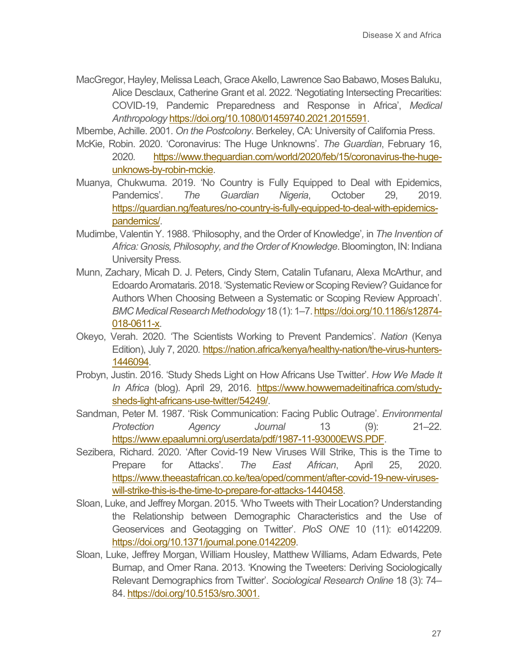MacGregor, Hayley, Melissa Leach, Grace Akello, Lawrence Sao Babawo, Moses Baluku, Alice Desclaux, Catherine Grant et al. 2022. 'Negotiating Intersecting Precarities: COVID-19, Pandemic Preparedness and Response in Africa', *Medical Anthropology* [https://doi.org/10.1080/01459740.2021.2015591.](https://doi.org/10.1080/01459740.2021.2015591)

Mbembe, Achille. 2001. *On the Postcolony*. Berkeley, CA: University of California Press.

- McKie, Robin. 2020. 'Coronavirus: The Huge Unknowns'. *The Guardian*, February 16, 2020*.* [https://www.theguardian.com/world/2020/feb/15/coronavirus-the-huge](https://www.theguardian.com/world/2020/feb/15/coronavirus-the-huge-unknows-by-robin-mckie)[unknows-by-robin-mckie.](https://www.theguardian.com/world/2020/feb/15/coronavirus-the-huge-unknows-by-robin-mckie)
- Muanya, Chukwuma. 2019. 'No Country is Fully Equipped to Deal with Epidemics, Pandemics'. *The Guardian Nigeria*, October 29, 2019. [https://guardian.ng/features/no-country-is-fully-equipped-to-deal-with-epidemics](https://guardian.ng/features/no-country-is-fully-equipped-to-deal-with-epidemics-pandemics/)[pandemics/.](https://guardian.ng/features/no-country-is-fully-equipped-to-deal-with-epidemics-pandemics/)
- Mudimbe, Valentin Y. 1988. 'Philosophy, and the Order of Knowledge'*,* in *The Invention of Africa: Gnosis, Philosophy, and the Order of Knowledge*. Bloomington, IN: Indiana University Press.
- Munn, Zachary, Micah D. J. Peters, Cindy Stern, Catalin Tufanaru, Alexa McArthur, and Edoardo Aromataris. 2018. 'Systematic Review or Scoping Review? Guidance for Authors When Choosing Between a Systematic or Scoping Review Approach'. *BMC Medical Research Methodology* 18 (1): 1–7[. https://doi.org/10.1186/s12874-](https://doi.org/10.1186/s12874-018-0611-x) [018-0611-x.](https://doi.org/10.1186/s12874-018-0611-x)
- Okeyo, Verah. 2020. 'The Scientists Working to Prevent Pandemics'. *Nation* (Kenya Edition), July 7, 2020*.* [https://nation.africa/kenya/healthy-nation/the-virus-hunters-](https://nation.africa/kenya/healthy-nation/the-virus-hunters-1446094)[1446094](https://nation.africa/kenya/healthy-nation/the-virus-hunters-1446094)*.*
- Probyn, Justin. 2016. 'Study Sheds Light on How Africans Use Twitter'. *How We Made It*  In Africa (blog). April 29, 2016. [https://www.howwemadeitinafrica.com/study](https://www.howwemadeitinafrica.com/study-sheds-light-africans-use-twitter/54249/)[sheds-light-africans-use-twitter/54249/.](https://www.howwemadeitinafrica.com/study-sheds-light-africans-use-twitter/54249/)
- Sandman, Peter M. 1987. 'Risk Communication: Facing Public Outrage'. *Environmental Protection Agency Journal* 13 (9): 21–22. [https://www.epaalumni.org/userdata/pdf/1987-11-93000EWS.PDF.](https://www.epaalumni.org/userdata/pdf/1987-11-93000EWS.PDF)
- Sezibera, Richard. 2020. 'After Covid-19 New Viruses Will Strike, This is the Time to Prepare for Attacks'. *The East African*, April 25, 2020. [https://www.theeastafrican.co.ke/tea/oped/comment/after-covid-19-new-viruses](https://www.theeastafrican.co.ke/tea/oped/comment/after-covid-19-new-viruses-will-strike-this-is-the-time-to-prepare-for-attacks-1440458)[will-strike-this-is-the-time-to-prepare-for-attacks-1440458.](https://www.theeastafrican.co.ke/tea/oped/comment/after-covid-19-new-viruses-will-strike-this-is-the-time-to-prepare-for-attacks-1440458)
- Sloan, Luke, and Jeffrey Morgan. 2015. 'Who Tweets with Their Location? Understanding the Relationship between Demographic Characteristics and the Use of Geoservices and Geotagging on Twitter'. *PloS ONE* 10 (11): e0142209. [https://doi.org/10.1371/journal.pone.0142209.](https://doi.org/10.1371/journal.pone.0142209)
- Sloan, Luke, Jeffrey Morgan, William Housley, Matthew Williams, Adam Edwards, Pete Burnap, and Omer Rana. 2013. 'Knowing the Tweeters: Deriving Sociologically Relevant Demographics from Twitter'. *Sociological Research Online* 18 (3): 74– 84. [https://doi.org/10.5153/sro.3001.](https://doi.org/10.5153%2Fsro.3001)